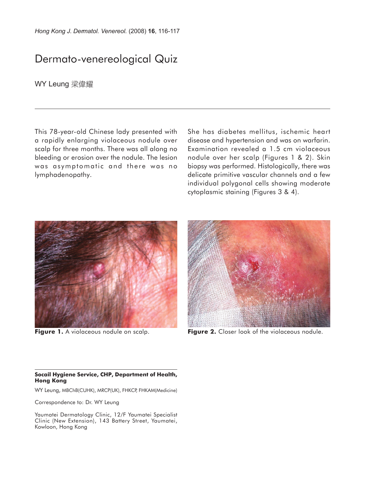## Dermato-venereological Quiz

**WY Leung 梁偉耀** 

This 78-year-old Chinese lady presented with a rapidly enlarging violaceous nodule over scalp for three months. There was all along no bleeding or erosion over the nodule. The lesion was asymptomatic and there was no lymphadenopathy.

She has diabetes mellitus, ischemic heart disease and hypertension and was on warfarin. Examination revealed a 1.5 cm violaceous nodule over her scalp (Figures 1 & 2). Skin biopsy was performed. Histologically, there was delicate primitive vascular channels and a few individual polygonal cells showing moderate cytoplasmic staining (Figures 3 & 4).



**Figure 1.** A violaceous nodule on scalp.



Figure 2. Closer look of the violaceous nodule.

## **Socail Hygiene Service, CHP, Department of Health, Hong Kong**

WY Leung, MBChB(CUHK), MRCP(UK), FHKCP, FHKAM(Medicine)

Correspondence to: Dr. WY Leung

Yaumatei Dermatology Clinic, 12/F Yaumatei Specialist Clinic (New Extension), 143 Battery Street, Yaumatei, Kowloon, Hong Kong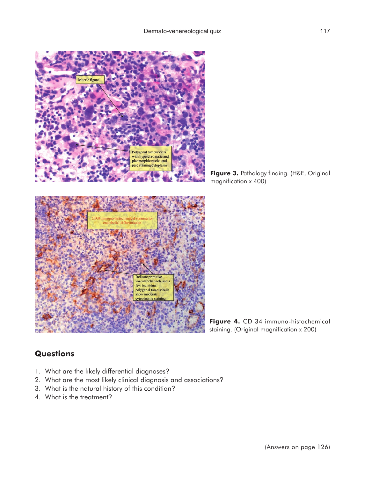

**Figure 3.** Pathology finding. (H&E, Original magnification x 400)



## **Questions**

- 1. What are the likely differential diagnoses?
- 2. What are the most likely clinical diagnosis and associations?
- 3. What is the natural history of this condition?
- 4. What is the treatment?